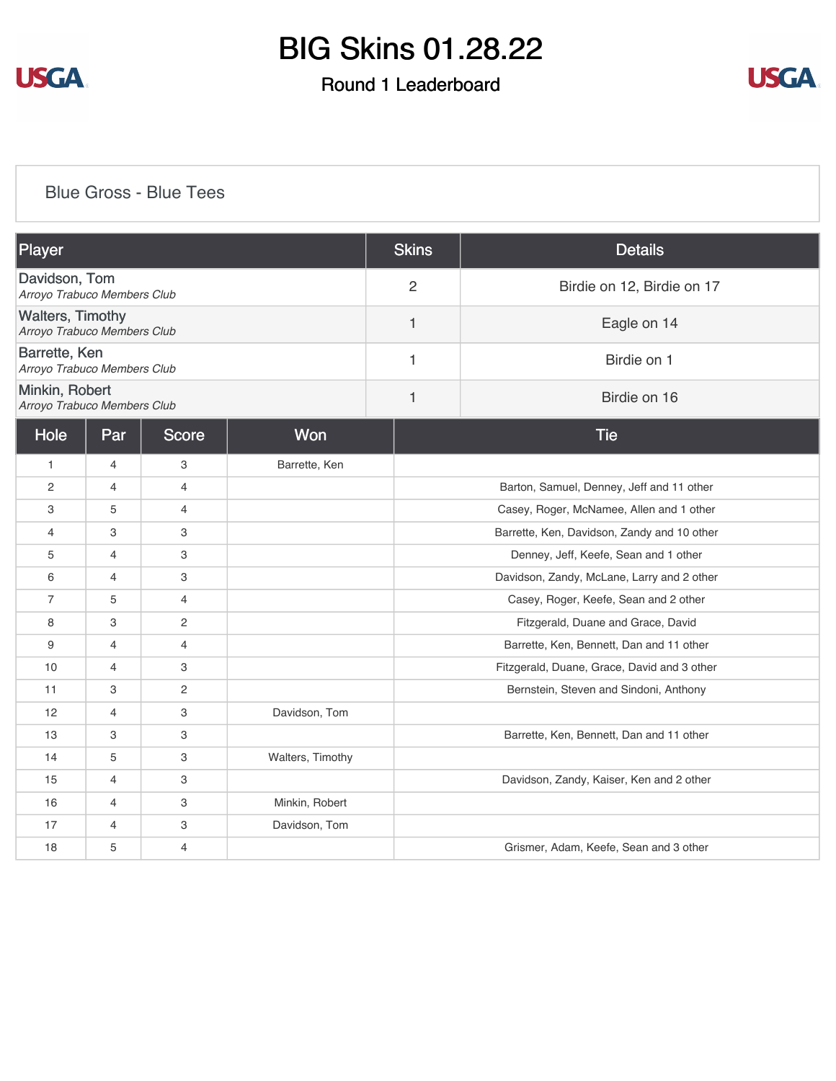

## Round 1 Leaderboard



### [Blue Gross - Blue Tees](https://cdn2.golfgenius.com/v2tournaments/8166929691475730603?called_from=&round_index=1)

| Player                                                 |                |                |                  | <b>Skins</b>   | <b>Details</b>                              |  |  |
|--------------------------------------------------------|----------------|----------------|------------------|----------------|---------------------------------------------|--|--|
| Davidson, Tom<br>Arroyo Trabuco Members Club           |                |                |                  | $\overline{2}$ | Birdie on 12, Birdie on 17                  |  |  |
| <b>Walters, Timothy</b><br>Arroyo Trabuco Members Club |                |                |                  | 1              | Eagle on 14                                 |  |  |
| Barrette, Ken<br>Arroyo Trabuco Members Club           |                |                |                  | 1              | Birdie on 1                                 |  |  |
| Minkin, Robert<br>Arroyo Trabuco Members Club          |                |                |                  | $\mathbf{1}$   | Birdie on 16                                |  |  |
| Hole                                                   | Par            | <b>Score</b>   | Won              |                | <b>Tie</b>                                  |  |  |
| $\mathbf{1}$                                           | $\overline{4}$ | 3              | Barrette, Ken    |                |                                             |  |  |
| 2                                                      | 4              | $\overline{4}$ |                  |                | Barton, Samuel, Denney, Jeff and 11 other   |  |  |
| 3                                                      | 5              | $\overline{4}$ |                  |                | Casey, Roger, McNamee, Allen and 1 other    |  |  |
| 4                                                      | 3              | 3              |                  |                | Barrette, Ken, Davidson, Zandy and 10 other |  |  |
| 5                                                      | $\overline{4}$ | 3              |                  |                | Denney, Jeff, Keefe, Sean and 1 other       |  |  |
| 6                                                      | $\overline{4}$ | 3              |                  |                | Davidson, Zandy, McLane, Larry and 2 other  |  |  |
| $\overline{7}$                                         | 5              | $\overline{4}$ |                  |                | Casey, Roger, Keefe, Sean and 2 other       |  |  |
| 8                                                      | 3              | 2              |                  |                | Fitzgerald, Duane and Grace, David          |  |  |
| 9                                                      | $\overline{4}$ | $\overline{4}$ |                  |                | Barrette, Ken, Bennett, Dan and 11 other    |  |  |
| 10                                                     | $\overline{4}$ | 3              |                  |                | Fitzgerald, Duane, Grace, David and 3 other |  |  |
| 11                                                     | 3              | $\overline{c}$ |                  |                | Bernstein, Steven and Sindoni, Anthony      |  |  |
| 12                                                     | $\overline{4}$ | 3              | Davidson, Tom    |                |                                             |  |  |
| 13                                                     | 3              | 3              |                  |                | Barrette, Ken, Bennett, Dan and 11 other    |  |  |
| 14                                                     | 5              | 3              | Walters, Timothy |                |                                             |  |  |
| 15                                                     | $\overline{4}$ | 3              |                  |                | Davidson, Zandy, Kaiser, Ken and 2 other    |  |  |
| 16                                                     | $\overline{4}$ | 3              | Minkin, Robert   |                |                                             |  |  |
| 17                                                     | $\overline{4}$ | 3              | Davidson, Tom    |                |                                             |  |  |
| 18                                                     | 5              | $\overline{4}$ |                  |                | Grismer, Adam, Keefe, Sean and 3 other      |  |  |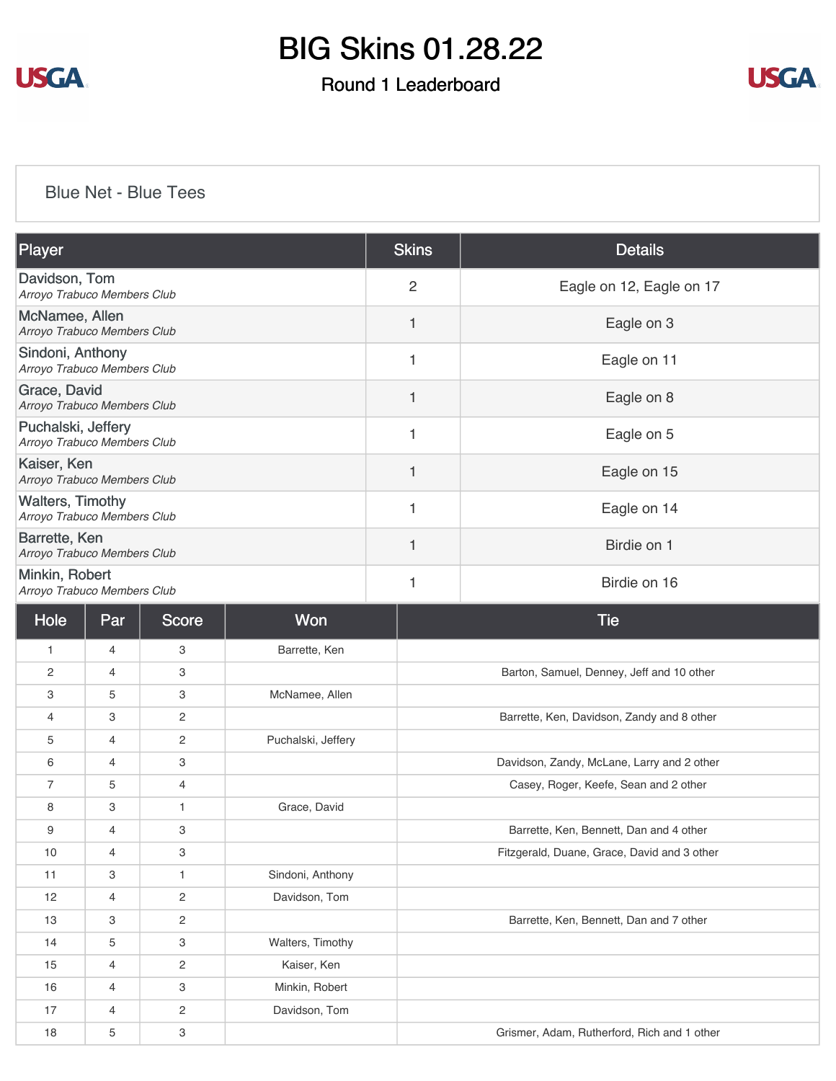

## Round 1 Leaderboard



#### [Blue Net - Blue Tees](https://cdn2.golfgenius.com/v2tournaments/8166930556475433132?called_from=&round_index=1)

| Player                                                 | <b>Skins</b>   | <b>Details</b>           |
|--------------------------------------------------------|----------------|--------------------------|
| Davidson, Tom<br>Arroyo Trabuco Members Club           | $\overline{2}$ | Eagle on 12, Eagle on 17 |
| McNamee, Allen<br>Arroyo Trabuco Members Club          | $\mathbf 1$    | Eagle on 3               |
| Sindoni, Anthony<br>Arroyo Trabuco Members Club        | 1              | Eagle on 11              |
| Grace, David<br>Arroyo Trabuco Members Club            | $\mathbf{1}$   | Eagle on 8               |
| Puchalski, Jeffery<br>Arroyo Trabuco Members Club      | $\mathbf{1}$   | Eagle on 5               |
| Kaiser, Ken<br>Arroyo Trabuco Members Club             | 1              | Eagle on 15              |
| <b>Walters, Timothy</b><br>Arroyo Trabuco Members Club | 1              | Eagle on 14              |
| Barrette, Ken<br>Arroyo Trabuco Members Club           | 1              | Birdie on 1              |
| Minkin, Robert<br>Arroyo Trabuco Members Club          | 1              | Birdie on 16             |

| Hole           | Par            | Score          | Won                | <b>Tie</b>                                  |
|----------------|----------------|----------------|--------------------|---------------------------------------------|
| $\mathbf{1}$   | $\overline{4}$ | 3              | Barrette, Ken      |                                             |
| $\mathbf{2}$   | $\overline{4}$ | 3              |                    | Barton, Samuel, Denney, Jeff and 10 other   |
| 3              | 5              | 3              | McNamee, Allen     |                                             |
| 4              | 3              | $\mathbf{2}$   |                    | Barrette, Ken, Davidson, Zandy and 8 other  |
| 5              | $\overline{4}$ | $\overline{c}$ | Puchalski, Jeffery |                                             |
| 6              | $\overline{4}$ | 3              |                    | Davidson, Zandy, McLane, Larry and 2 other  |
| $\overline{7}$ | 5              | $\overline{4}$ |                    | Casey, Roger, Keefe, Sean and 2 other       |
| 8              | 3              | $\mathbf{1}$   | Grace, David       |                                             |
| 9              | $\overline{4}$ | 3              |                    | Barrette, Ken, Bennett, Dan and 4 other     |
| 10             | $\overline{4}$ | 3              |                    | Fitzgerald, Duane, Grace, David and 3 other |
| 11             | 3              | $\mathbf{1}$   | Sindoni, Anthony   |                                             |
| 12             | 4              | $\overline{2}$ | Davidson, Tom      |                                             |
| 13             | 3              | $\overline{c}$ |                    | Barrette, Ken, Bennett, Dan and 7 other     |
| 14             | 5              | 3              | Walters, Timothy   |                                             |
| 15             | $\overline{4}$ | 2              | Kaiser, Ken        |                                             |
| 16             | 4              | 3              | Minkin, Robert     |                                             |
| 17             | 4              | $\overline{2}$ | Davidson, Tom      |                                             |
| 18             | 5              | 3              |                    | Grismer, Adam, Rutherford, Rich and 1 other |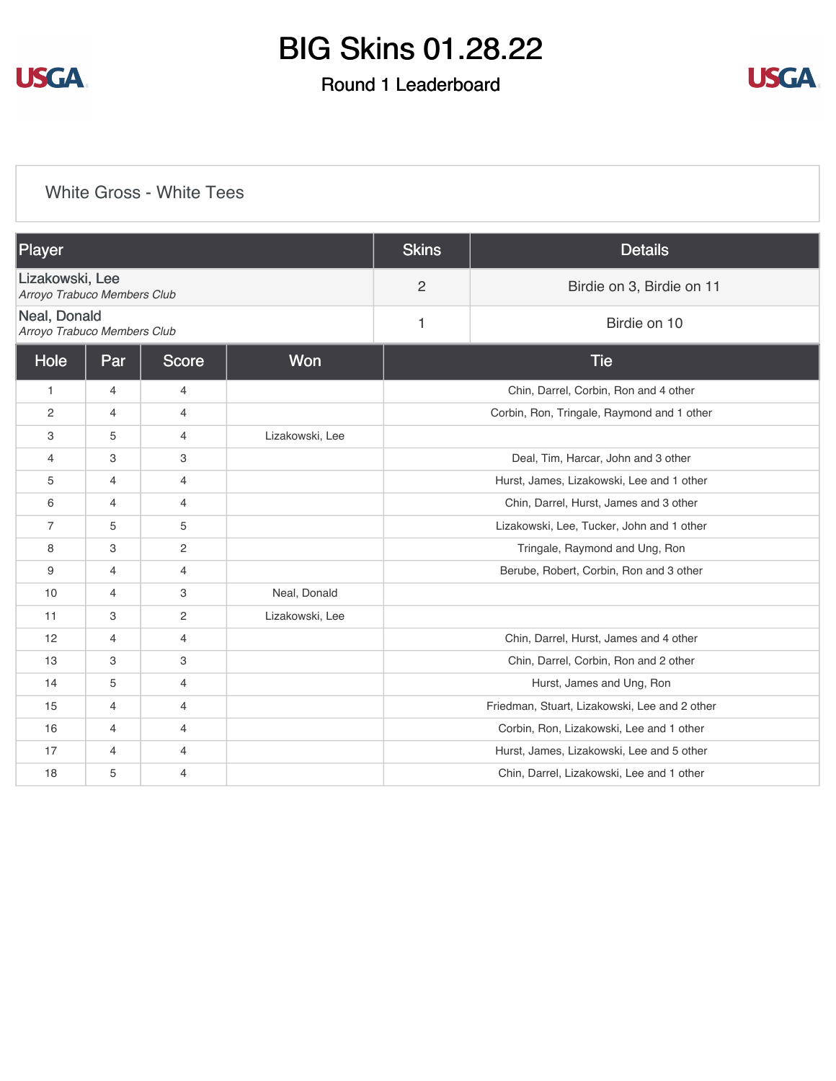

## Round 1 Leaderboard



### [White Gross - White Tees](https://cdn2.golfgenius.com/v2tournaments/8166931474558247085?called_from=&round_index=1)

| Player                                         |                |                |                 | <b>Skins</b>                              | <b>Details</b>                                |  |
|------------------------------------------------|----------------|----------------|-----------------|-------------------------------------------|-----------------------------------------------|--|
| Lizakowski, Lee<br>Arroyo Trabuco Members Club |                |                |                 | $\overline{2}$                            | Birdie on 3, Birdie on 11                     |  |
| Neal, Donald<br>Arroyo Trabuco Members Club    |                |                |                 | 1                                         | Birdie on 10                                  |  |
| Won<br>Hole<br><b>Score</b><br>Par             |                |                |                 | <b>Tie</b>                                |                                               |  |
| $\mathbf{1}$                                   | $\overline{4}$ | $\overline{4}$ |                 |                                           | Chin, Darrel, Corbin, Ron and 4 other         |  |
| 2                                              | $\overline{4}$ | 4              |                 |                                           | Corbin, Ron, Tringale, Raymond and 1 other    |  |
| 3                                              | 5              | $\overline{4}$ | Lizakowski, Lee |                                           |                                               |  |
| 4                                              | 3              | 3              |                 |                                           | Deal, Tim, Harcar, John and 3 other           |  |
| 5                                              | $\overline{4}$ | $\overline{4}$ |                 | Hurst, James, Lizakowski, Lee and 1 other |                                               |  |
| 6                                              | $\overline{4}$ | $\overline{4}$ |                 | Chin, Darrel, Hurst, James and 3 other    |                                               |  |
| $\overline{7}$                                 | 5              | 5              |                 | Lizakowski, Lee, Tucker, John and 1 other |                                               |  |
| 8                                              | 3              | $\overline{2}$ |                 |                                           | Tringale, Raymond and Ung, Ron                |  |
| 9                                              | $\overline{4}$ | $\overline{4}$ |                 |                                           | Berube, Robert, Corbin, Ron and 3 other       |  |
| 10                                             | 4              | 3              | Neal, Donald    |                                           |                                               |  |
| 11                                             | 3              | $\overline{2}$ | Lizakowski, Lee |                                           |                                               |  |
| 12                                             | $\overline{4}$ | $\overline{4}$ |                 |                                           | Chin, Darrel, Hurst, James and 4 other        |  |
| 13                                             | 3              | 3              |                 |                                           | Chin, Darrel, Corbin, Ron and 2 other         |  |
| 14                                             | 5              | $\overline{4}$ |                 |                                           | Hurst, James and Ung, Ron                     |  |
| 15                                             | $\overline{4}$ | $\overline{4}$ |                 |                                           | Friedman, Stuart, Lizakowski, Lee and 2 other |  |
| 16                                             | 4              | $\overline{4}$ |                 |                                           | Corbin, Ron, Lizakowski, Lee and 1 other      |  |
| 17                                             | 4              | $\overline{4}$ |                 |                                           | Hurst, James, Lizakowski, Lee and 5 other     |  |
| 18                                             | 5              | $\overline{4}$ |                 |                                           | Chin, Darrel, Lizakowski, Lee and 1 other     |  |